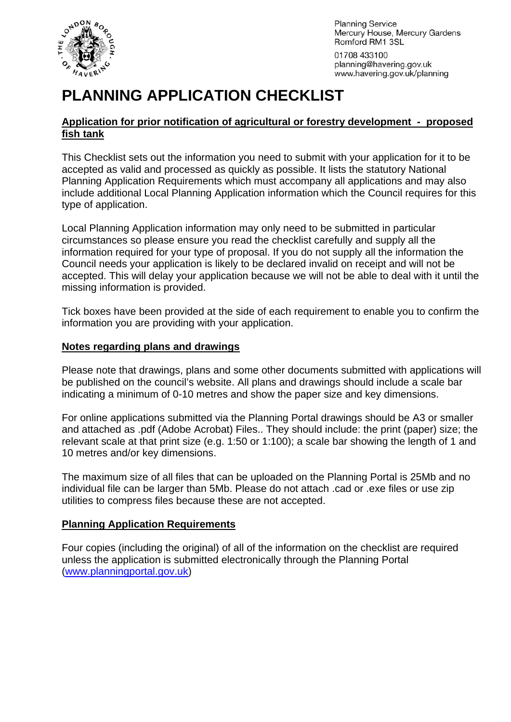

**Planning Service** Mercury House, Mercury Gardens Romford RM1 3SL

01708 433100 planning@havering.gov.uk www.havering.gov.uk/planning

# **PLANNING APPLICATION CHECKLIST**

## **Application for prior notification of agricultural or forestry development - proposed fish tank**

This Checklist sets out the information you need to submit with your application for it to be accepted as valid and processed as quickly as possible. It lists the statutory National Planning Application Requirements which must accompany all applications and may also include additional Local Planning Application information which the Council requires for this type of application.

Local Planning Application information may only need to be submitted in particular circumstances so please ensure you read the checklist carefully and supply all the information required for your type of proposal. If you do not supply all the information the Council needs your application is likely to be declared invalid on receipt and will not be accepted. This will delay your application because we will not be able to deal with it until the missing information is provided.

Tick boxes have been provided at the side of each requirement to enable you to confirm the information you are providing with your application.

### **Notes regarding plans and drawings**

Please note that drawings, plans and some other documents submitted with applications will be published on the council's website. All plans and drawings should include a scale bar indicating a minimum of 0-10 metres and show the paper size and key dimensions.

For online applications submitted via the Planning Portal drawings should be A3 or smaller and attached as .pdf (Adobe Acrobat) Files.. They should include: the print (paper) size; the relevant scale at that print size (e.g. 1:50 or 1:100); a scale bar showing the length of 1 and 10 metres and/or key dimensions.

The maximum size of all files that can be uploaded on the Planning Portal is 25Mb and no individual file can be larger than 5Mb. Please do not attach .cad or .exe files or use zip utilities to compress files because these are not accepted.

### **Planning Application Requirements**

Four copies (including the original) of all of the information on the checklist are required unless the application is submitted electronically through the Planning Portal ([www.planningportal.gov.uk](http://www.planningportal.gov.uk/))